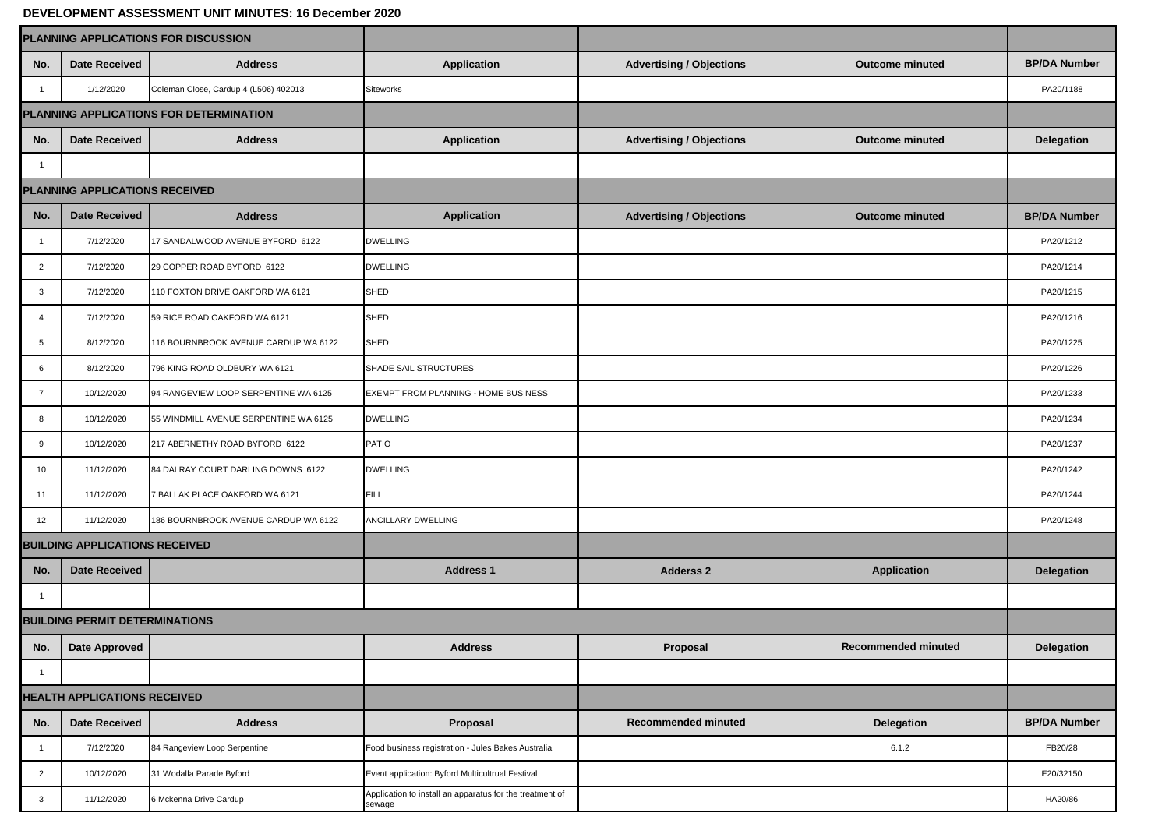## **DEVELOPMENT ASSESSMENT UNIT MINUTES: 16 December 2020**

| PLANNING APPLICATIONS FOR DISCUSSION    |                                       |                                       |                                                                    |                                 |                        |                     |
|-----------------------------------------|---------------------------------------|---------------------------------------|--------------------------------------------------------------------|---------------------------------|------------------------|---------------------|
| No.                                     | <b>Date Received</b>                  | <b>Address</b>                        | Application                                                        | <b>Advertising / Objections</b> | <b>Outcome minuted</b> | <b>BP/DA Number</b> |
| $\overline{\mathbf{1}}$                 | 1/12/2020                             | Coleman Close, Cardup 4 (L506) 402013 | Siteworks                                                          |                                 |                        | PA20/1188           |
| PLANNING APPLICATIONS FOR DETERMINATION |                                       |                                       |                                                                    |                                 |                        |                     |
| No.                                     | <b>Date Received</b>                  | <b>Address</b>                        | <b>Application</b>                                                 | <b>Advertising / Objections</b> | <b>Outcome minuted</b> | <b>Delegation</b>   |
| $\overline{1}$                          |                                       |                                       |                                                                    |                                 |                        |                     |
| PLANNING APPLICATIONS RECEIVED          |                                       |                                       |                                                                    |                                 |                        |                     |
| No.                                     | <b>Date Received</b>                  | <b>Address</b>                        | <b>Application</b>                                                 | <b>Advertising / Objections</b> | <b>Outcome minuted</b> | <b>BP/DA Number</b> |
| $\mathbf{1}$                            | 7/12/2020                             | 17 SANDALWOOD AVENUE BYFORD 6122      | <b>DWELLING</b>                                                    |                                 |                        | PA20/1212           |
| $\overline{2}$                          | 7/12/2020                             | 29 COPPER ROAD BYFORD 6122            | <b>DWELLING</b>                                                    |                                 |                        | PA20/1214           |
| 3                                       | 7/12/2020                             | 110 FOXTON DRIVE OAKFORD WA 6121      | SHED                                                               |                                 |                        | PA20/1215           |
| $\overline{4}$                          | 7/12/2020                             | 59 RICE ROAD OAKFORD WA 6121          | SHED                                                               |                                 |                        | PA20/1216           |
| 5                                       | 8/12/2020                             | 116 BOURNBROOK AVENUE CARDUP WA 6122  | <b>SHED</b>                                                        |                                 |                        | PA20/1225           |
| 6                                       | 8/12/2020                             | 796 KING ROAD OLDBURY WA 6121         | SHADE SAIL STRUCTURES                                              |                                 |                        | PA20/1226           |
| $\overline{7}$                          | 10/12/2020                            | 94 RANGEVIEW LOOP SERPENTINE WA 6125  | EXEMPT FROM PLANNING - HOME BUSINESS                               |                                 |                        | PA20/1233           |
| 8                                       | 10/12/2020                            | 55 WINDMILL AVENUE SERPENTINE WA 6125 | <b>DWELLING</b>                                                    |                                 |                        | PA20/1234           |
| 9                                       | 10/12/2020                            | 217 ABERNETHY ROAD BYFORD 6122        | <b>PATIO</b>                                                       |                                 |                        | PA20/1237           |
| 10                                      | 11/12/2020                            | 84 DALRAY COURT DARLING DOWNS 6122    | <b>DWELLING</b>                                                    |                                 |                        | PA20/1242           |
| 11                                      | 11/12/2020                            | 7 BALLAK PLACE OAKFORD WA 6121        | <b>FILL</b>                                                        |                                 |                        | PA20/1244           |
| 12                                      | 11/12/2020                            | 186 BOURNBROOK AVENUE CARDUP WA 6122  | ANCILLARY DWELLING                                                 |                                 |                        | PA20/1248           |
| <b>BUILDING APPLICATIONS RECEIVED</b>   |                                       |                                       |                                                                    |                                 |                        |                     |
| No.                                     | <b>Date Received</b>                  |                                       | <b>Address 1</b>                                                   | <b>Adderss 2</b>                | <b>Application</b>     | <b>Delegation</b>   |
| $\mathbf{1}$                            |                                       |                                       |                                                                    |                                 |                        |                     |
|                                         | <b>BUILDING PERMIT DETERMINATIONS</b> |                                       |                                                                    |                                 |                        |                     |
|                                         | No. Date Approved                     |                                       | <b>Address</b>                                                     | Proposal                        | Recommended minuted    | Delegation          |
| $\mathbf{1}$                            |                                       |                                       |                                                                    |                                 |                        |                     |
| HEALTH APPLICATIONS RECEIVED            |                                       |                                       |                                                                    |                                 |                        |                     |
| No.                                     | <b>Date Received</b>                  | <b>Address</b>                        | Proposal                                                           | <b>Recommended minuted</b>      | Delegation             | <b>BP/DA Number</b> |
| $\overline{1}$                          | 7/12/2020                             | 84 Rangeview Loop Serpentine          | Food business registration - Jules Bakes Australia                 |                                 | 6.1.2                  | FB20/28             |
| $\overline{2}$                          | 10/12/2020                            | 31 Wodalla Parade Byford              | Event application: Byford Multicultrual Festival                   |                                 |                        | E20/32150           |
| $\mathbf{3}$                            | 11/12/2020                            | 6 Mckenna Drive Cardup                | Application to install an apparatus for the treatment of<br>sewage |                                 |                        | HA20/86             |